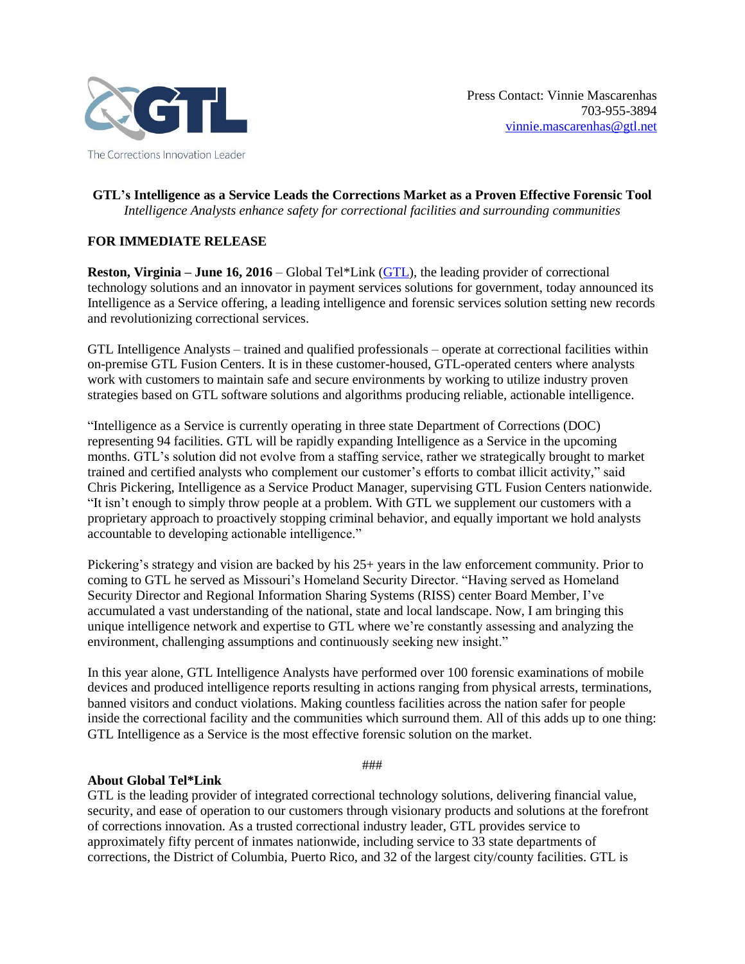

## **GTL's Intelligence as a Service Leads the Corrections Market as a Proven Effective Forensic Tool** *Intelligence Analysts enhance safety for correctional facilities and surrounding communities*

## **FOR IMMEDIATE RELEASE**

**Reston, Virginia – June 16, 2016** – Global Tel\*Link [\(GTL\)](http://www.gtl.net/), the leading provider of correctional technology solutions and an innovator in payment services solutions for government, today announced its Intelligence as a Service offering, a leading intelligence and forensic services solution setting new records and revolutionizing correctional services.

GTL Intelligence Analysts – trained and qualified professionals – operate at correctional facilities within on-premise GTL Fusion Centers. It is in these customer-housed, GTL-operated centers where analysts work with customers to maintain safe and secure environments by working to utilize industry proven strategies based on GTL software solutions and algorithms producing reliable, actionable intelligence.

"Intelligence as a Service is currently operating in three state Department of Corrections (DOC) representing 94 facilities. GTL will be rapidly expanding Intelligence as a Service in the upcoming months. GTL's solution did not evolve from a staffing service, rather we strategically brought to market trained and certified analysts who complement our customer's efforts to combat illicit activity," said Chris Pickering, Intelligence as a Service Product Manager, supervising GTL Fusion Centers nationwide. "It isn't enough to simply throw people at a problem. With GTL we supplement our customers with a proprietary approach to proactively stopping criminal behavior, and equally important we hold analysts accountable to developing actionable intelligence."

Pickering's strategy and vision are backed by his 25+ years in the law enforcement community. Prior to coming to GTL he served as Missouri's Homeland Security Director. "Having served as Homeland Security Director and Regional Information Sharing Systems (RISS) center Board Member, I've accumulated a vast understanding of the national, state and local landscape. Now, I am bringing this unique intelligence network and expertise to GTL where we're constantly assessing and analyzing the environment, challenging assumptions and continuously seeking new insight."

In this year alone, GTL Intelligence Analysts have performed over 100 forensic examinations of mobile devices and produced intelligence reports resulting in actions ranging from physical arrests, terminations, banned visitors and conduct violations. Making countless facilities across the nation safer for people inside the correctional facility and the communities which surround them. All of this adds up to one thing: GTL Intelligence as a Service is the most effective forensic solution on the market.

###

## **About Global Tel\*Link**

GTL is the leading provider of integrated correctional technology solutions, delivering financial value, security, and ease of operation to our customers through visionary products and solutions at the forefront of corrections innovation. As a trusted correctional industry leader, GTL provides service to approximately fifty percent of inmates nationwide, including service to 33 state departments of corrections, the District of Columbia, Puerto Rico, and 32 of the largest city/county facilities. GTL is